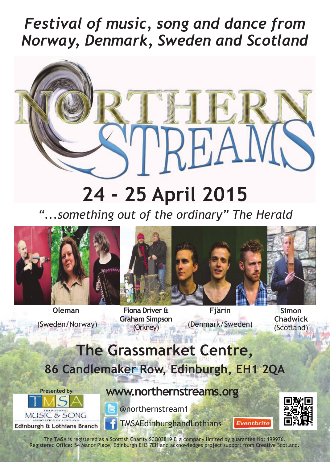## *Festival of music, song and dance from Norway, Denmark, Sweden and Scotland*



# **24 - 25 April 2015**

*"...something out of the ordinary" The Herald*



**Oleman** (Sweden/Norway)



**Fiona Driver & Graham Simpson** (Orkney)

**Fjärin** (Denmark/Sweden)

**Simon Chadwick** (Scotland)

### **The Grassmarket Centre, 86 Candlemaker Row, Edinburgh, EH1 2QA**





@northernstream1

**[www.northernstreams.org](http://www.northernstreams.org/)**



Eventbrite

The TMSA is registered as a Scottish Charity SCO03819 & a company limited by guarantee No: 199976. Registered Office: 54 Manor Place, Edinburgh EH3 7EH and acknowledges project support from Creative Scotland.